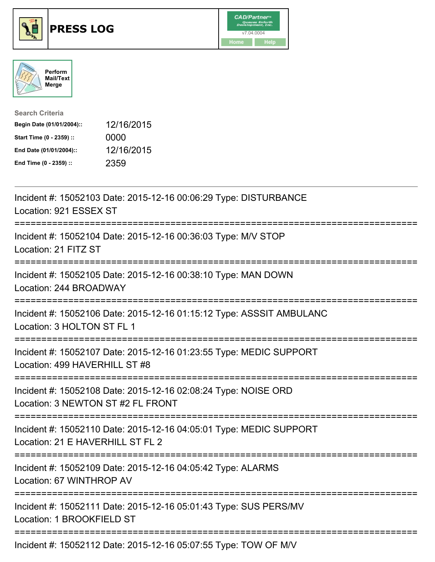





| <b>Search Criteria</b>    |            |
|---------------------------|------------|
| Begin Date (01/01/2004):: | 12/16/2015 |
| Start Time (0 - 2359) ::  | 0000       |
| End Date (01/01/2004)::   | 12/16/2015 |
| End Time (0 - 2359) ::    | 2359       |

| Incident #: 15052103 Date: 2015-12-16 00:06:29 Type: DISTURBANCE<br>Location: 921 ESSEX ST                                        |
|-----------------------------------------------------------------------------------------------------------------------------------|
| Incident #: 15052104 Date: 2015-12-16 00:36:03 Type: M/V STOP<br>Location: 21 FITZ ST<br>.-----------------                       |
| Incident #: 15052105 Date: 2015-12-16 00:38:10 Type: MAN DOWN<br>Location: 244 BROADWAY<br>:===================================== |
| Incident #: 15052106 Date: 2015-12-16 01:15:12 Type: ASSSIT AMBULANC<br>Location: 3 HOLTON ST FL 1                                |
| Incident #: 15052107 Date: 2015-12-16 01:23:55 Type: MEDIC SUPPORT<br>Location: 499 HAVERHILL ST #8                               |
| Incident #: 15052108 Date: 2015-12-16 02:08:24 Type: NOISE ORD<br>Location: 3 NEWTON ST #2 FL FRONT                               |
| Incident #: 15052110 Date: 2015-12-16 04:05:01 Type: MEDIC SUPPORT<br>Location: 21 E HAVERHILL ST FL 2                            |
| Incident #: 15052109 Date: 2015-12-16 04:05:42 Type: ALARMS<br>Location: 67 WINTHROP AV                                           |
| Incident #: 15052111 Date: 2015-12-16 05:01:43 Type: SUS PERS/MV<br>Location: 1 BROOKFIELD ST                                     |
| Incident #: 15052112 Date: 2015-12-16 05:07:55 Type: TOW OF M/V                                                                   |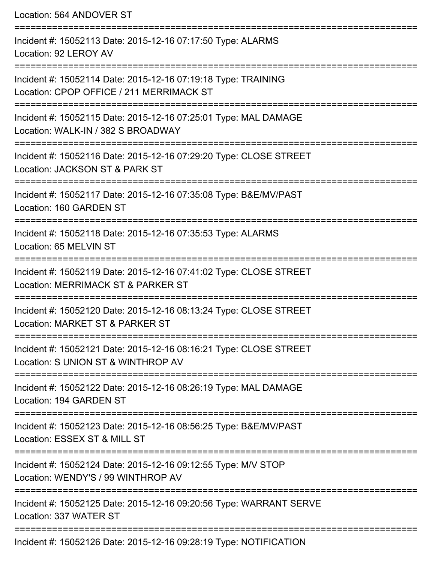Location: 564 ANDOVER ST

| Incident #: 15052113 Date: 2015-12-16 07:17:50 Type: ALARMS<br>Location: 92 LEROY AV                      |
|-----------------------------------------------------------------------------------------------------------|
| Incident #: 15052114 Date: 2015-12-16 07:19:18 Type: TRAINING<br>Location: CPOP OFFICE / 211 MERRIMACK ST |
| Incident #: 15052115 Date: 2015-12-16 07:25:01 Type: MAL DAMAGE<br>Location: WALK-IN / 382 S BROADWAY     |
| Incident #: 15052116 Date: 2015-12-16 07:29:20 Type: CLOSE STREET<br>Location: JACKSON ST & PARK ST       |
| Incident #: 15052117 Date: 2015-12-16 07:35:08 Type: B&E/MV/PAST<br>Location: 160 GARDEN ST               |
| Incident #: 15052118 Date: 2015-12-16 07:35:53 Type: ALARMS<br>Location: 65 MELVIN ST                     |
| Incident #: 15052119 Date: 2015-12-16 07:41:02 Type: CLOSE STREET<br>Location: MERRIMACK ST & PARKER ST   |
| Incident #: 15052120 Date: 2015-12-16 08:13:24 Type: CLOSE STREET<br>Location: MARKET ST & PARKER ST      |
| Incident #: 15052121 Date: 2015-12-16 08:16:21 Type: CLOSE STREET<br>Location: S UNION ST & WINTHROP AV   |
| Incident #: 15052122 Date: 2015-12-16 08:26:19 Type: MAL DAMAGE<br>Location: 194 GARDEN ST                |
| Incident #: 15052123 Date: 2015-12-16 08:56:25 Type: B&E/MV/PAST<br>Location: ESSEX ST & MILL ST          |
| Incident #: 15052124 Date: 2015-12-16 09:12:55 Type: M/V STOP<br>Location: WENDY'S / 99 WINTHROP AV       |
| Incident #: 15052125 Date: 2015-12-16 09:20:56 Type: WARRANT SERVE<br>Location: 337 WATER ST              |
| Incident #: 15052126 Date: 2015-12-16 09:28:19 Type: NOTIFICATION                                         |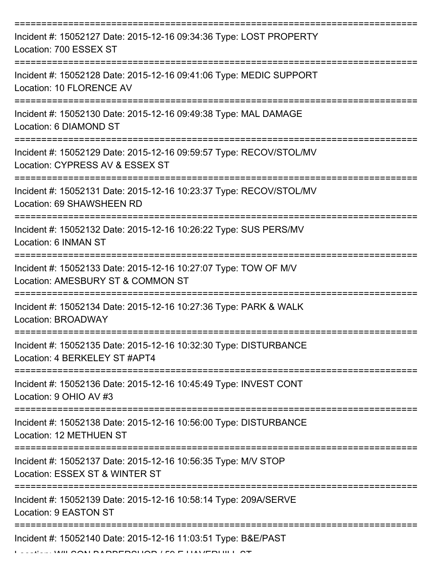| Incident #: 15052127 Date: 2015-12-16 09:34:36 Type: LOST PROPERTY<br>Location: 700 ESSEX ST                                                                                                                                                                                                                                                                                                                                                       |
|----------------------------------------------------------------------------------------------------------------------------------------------------------------------------------------------------------------------------------------------------------------------------------------------------------------------------------------------------------------------------------------------------------------------------------------------------|
| Incident #: 15052128 Date: 2015-12-16 09:41:06 Type: MEDIC SUPPORT<br><b>Location: 10 FLORENCE AV</b>                                                                                                                                                                                                                                                                                                                                              |
| Incident #: 15052130 Date: 2015-12-16 09:49:38 Type: MAL DAMAGE<br>Location: 6 DIAMOND ST                                                                                                                                                                                                                                                                                                                                                          |
| Incident #: 15052129 Date: 2015-12-16 09:59:57 Type: RECOV/STOL/MV<br>Location: CYPRESS AV & ESSEX ST                                                                                                                                                                                                                                                                                                                                              |
| Incident #: 15052131 Date: 2015-12-16 10:23:37 Type: RECOV/STOL/MV<br>Location: 69 SHAWSHEEN RD                                                                                                                                                                                                                                                                                                                                                    |
| Incident #: 15052132 Date: 2015-12-16 10:26:22 Type: SUS PERS/MV<br>Location: 6 INMAN ST                                                                                                                                                                                                                                                                                                                                                           |
| Incident #: 15052133 Date: 2015-12-16 10:27:07 Type: TOW OF M/V<br>Location: AMESBURY ST & COMMON ST                                                                                                                                                                                                                                                                                                                                               |
| Incident #: 15052134 Date: 2015-12-16 10:27:36 Type: PARK & WALK<br>Location: BROADWAY                                                                                                                                                                                                                                                                                                                                                             |
| Incident #: 15052135 Date: 2015-12-16 10:32:30 Type: DISTURBANCE<br>Location: 4 BERKELEY ST #APT4                                                                                                                                                                                                                                                                                                                                                  |
| Incident #: 15052136 Date: 2015-12-16 10:45:49 Type: INVEST CONT<br>Location: 9 OHIO AV #3                                                                                                                                                                                                                                                                                                                                                         |
| Incident #: 15052138 Date: 2015-12-16 10:56:00 Type: DISTURBANCE<br>Location: 12 METHUEN ST                                                                                                                                                                                                                                                                                                                                                        |
| Incident #: 15052137 Date: 2015-12-16 10:56:35 Type: M/V STOP<br>Location: ESSEX ST & WINTER ST                                                                                                                                                                                                                                                                                                                                                    |
| Incident #: 15052139 Date: 2015-12-16 10:58:14 Type: 209A/SERVE<br>Location: 9 EASTON ST                                                                                                                                                                                                                                                                                                                                                           |
| Incident #: 15052140 Date: 2015-12-16 11:03:51 Type: B&E/PAST<br>$\bigcap$ $\bigcup$ $\bigcap$ $\bigcap$ $\bigcap$ $\bigcap$ $\bigcap$ $\bigcap$ $\bigcap$ $\bigcap$ $\bigcap$ $\bigcap$ $\bigcap$ $\bigcap$ $\bigcap$ $\bigcap$ $\bigcap$ $\bigcap$ $\bigcap$ $\bigcap$ $\bigcap$ $\bigcap$ $\bigcap$ $\bigcap$ $\bigcap$ $\bigcap$ $\bigcap$ $\bigcap$ $\bigcap$ $\bigcap$ $\bigcap$ $\bigcap$ $\bigcap$ $\bigcap$ $\bigcap$ $\bigcap$ $\bigcap$ |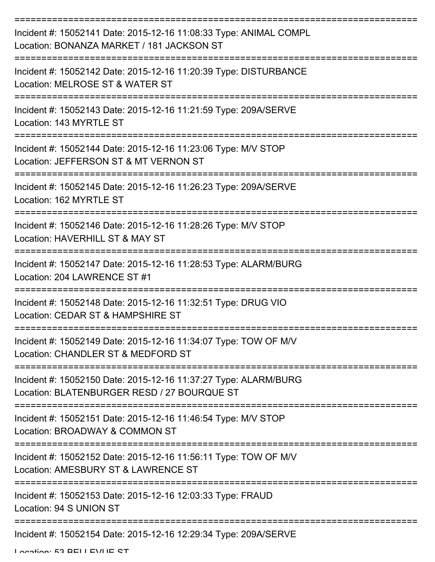| Incident #: 15052141 Date: 2015-12-16 11:08:33 Type: ANIMAL COMPL<br>Location: BONANZA MARKET / 181 JACKSON ST |
|----------------------------------------------------------------------------------------------------------------|
| Incident #: 15052142 Date: 2015-12-16 11:20:39 Type: DISTURBANCE<br>Location: MELROSE ST & WATER ST            |
| Incident #: 15052143 Date: 2015-12-16 11:21:59 Type: 209A/SERVE<br>Location: 143 MYRTLE ST                     |
| Incident #: 15052144 Date: 2015-12-16 11:23:06 Type: M/V STOP<br>Location: JEFFERSON ST & MT VERNON ST         |
| Incident #: 15052145 Date: 2015-12-16 11:26:23 Type: 209A/SERVE<br>Location: 162 MYRTLE ST                     |
| Incident #: 15052146 Date: 2015-12-16 11:28:26 Type: M/V STOP<br>Location: HAVERHILL ST & MAY ST               |
| Incident #: 15052147 Date: 2015-12-16 11:28:53 Type: ALARM/BURG<br>Location: 204 LAWRENCE ST #1                |
| Incident #: 15052148 Date: 2015-12-16 11:32:51 Type: DRUG VIO<br>Location: CEDAR ST & HAMPSHIRE ST             |
| Incident #: 15052149 Date: 2015-12-16 11:34:07 Type: TOW OF M/V<br>Location: CHANDLER ST & MEDFORD ST          |
| Incident #: 15052150 Date: 2015-12-16 11:37:27 Type: ALARM/BURG<br>Location: BLATENBURGER RESD / 27 BOURQUE ST |
| Incident #: 15052151 Date: 2015-12-16 11:46:54 Type: M/V STOP<br>Location: BROADWAY & COMMON ST                |
| Incident #: 15052152 Date: 2015-12-16 11:56:11 Type: TOW OF M/V<br>Location: AMESBURY ST & LAWRENCE ST         |
| Incident #: 15052153 Date: 2015-12-16 12:03:33 Type: FRAUD<br>Location: 94 S UNION ST                          |
| Incident #: 15052154 Date: 2015-12-16 12:29:34 Type: 209A/SERVE                                                |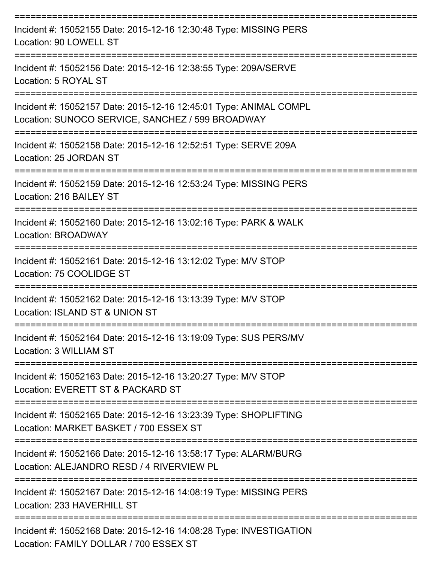| Incident #: 15052155 Date: 2015-12-16 12:30:48 Type: MISSING PERS<br>Location: 90 LOWELL ST                           |
|-----------------------------------------------------------------------------------------------------------------------|
| Incident #: 15052156 Date: 2015-12-16 12:38:55 Type: 209A/SERVE<br>Location: 5 ROYAL ST<br>------------------         |
| Incident #: 15052157 Date: 2015-12-16 12:45:01 Type: ANIMAL COMPL<br>Location: SUNOCO SERVICE, SANCHEZ / 599 BROADWAY |
| Incident #: 15052158 Date: 2015-12-16 12:52:51 Type: SERVE 209A<br>Location: 25 JORDAN ST                             |
| Incident #: 15052159 Date: 2015-12-16 12:53:24 Type: MISSING PERS<br>Location: 216 BAILEY ST                          |
| Incident #: 15052160 Date: 2015-12-16 13:02:16 Type: PARK & WALK<br>Location: BROADWAY                                |
| Incident #: 15052161 Date: 2015-12-16 13:12:02 Type: M/V STOP<br>Location: 75 COOLIDGE ST                             |
| Incident #: 15052162 Date: 2015-12-16 13:13:39 Type: M/V STOP<br>Location: ISLAND ST & UNION ST                       |
| Incident #: 15052164 Date: 2015-12-16 13:19:09 Type: SUS PERS/MV<br>Location: 3 WILLIAM ST                            |
| Incident #: 15052163 Date: 2015-12-16 13:20:27 Type: M/V STOP<br>Location: EVERETT ST & PACKARD ST                    |
| Incident #: 15052165 Date: 2015-12-16 13:23:39 Type: SHOPLIFTING<br>Location: MARKET BASKET / 700 ESSEX ST            |
| Incident #: 15052166 Date: 2015-12-16 13:58:17 Type: ALARM/BURG<br>Location: ALEJANDRO RESD / 4 RIVERVIEW PL          |
| Incident #: 15052167 Date: 2015-12-16 14:08:19 Type: MISSING PERS<br>Location: 233 HAVERHILL ST                       |
| Incident #: 15052168 Date: 2015-12-16 14:08:28 Type: INVESTIGATION<br>Location: EAMILY DOLLAD / 700 ECCEV CT          |

Location: FAMILY DOLLAR / 700 ESSEX ST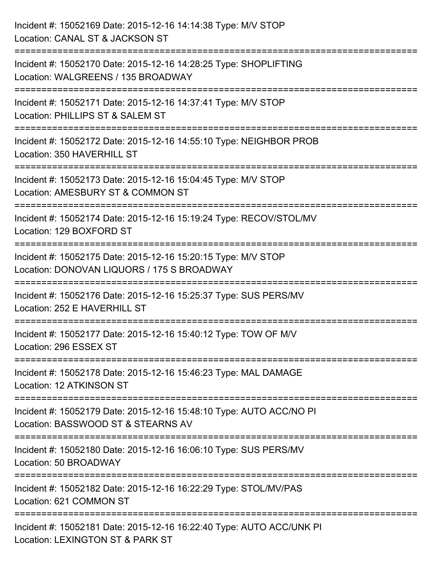| Incident #: 15052169 Date: 2015-12-16 14:14:38 Type: M/V STOP<br>Location: CANAL ST & JACKSON ST                                         |
|------------------------------------------------------------------------------------------------------------------------------------------|
| ========================<br>Incident #: 15052170 Date: 2015-12-16 14:28:25 Type: SHOPLIFTING<br>Location: WALGREENS / 135 BROADWAY       |
| Incident #: 15052171 Date: 2015-12-16 14:37:41 Type: M/V STOP<br>Location: PHILLIPS ST & SALEM ST<br>=================================== |
| Incident #: 15052172 Date: 2015-12-16 14:55:10 Type: NEIGHBOR PROB<br>Location: 350 HAVERHILL ST                                         |
| Incident #: 15052173 Date: 2015-12-16 15:04:45 Type: M/V STOP<br>Location: AMESBURY ST & COMMON ST<br>----------------                   |
| Incident #: 15052174 Date: 2015-12-16 15:19:24 Type: RECOV/STOL/MV<br>Location: 129 BOXFORD ST                                           |
| Incident #: 15052175 Date: 2015-12-16 15:20:15 Type: M/V STOP<br>Location: DONOVAN LIQUORS / 175 S BROADWAY                              |
| Incident #: 15052176 Date: 2015-12-16 15:25:37 Type: SUS PERS/MV<br>Location: 252 E HAVERHILL ST                                         |
| Incident #: 15052177 Date: 2015-12-16 15:40:12 Type: TOW OF M/V<br>Location: 296 ESSEX ST                                                |
| Incident #: 15052178 Date: 2015-12-16 15:46:23 Type: MAL DAMAGE<br>Location: 12 ATKINSON ST                                              |
| Incident #: 15052179 Date: 2015-12-16 15:48:10 Type: AUTO ACC/NO PI<br>Location: BASSWOOD ST & STEARNS AV                                |
| Incident #: 15052180 Date: 2015-12-16 16:06:10 Type: SUS PERS/MV<br>Location: 50 BROADWAY                                                |
| Incident #: 15052182 Date: 2015-12-16 16:22:29 Type: STOL/MV/PAS<br>Location: 621 COMMON ST                                              |
| Incident #: 15052181 Date: 2015-12-16 16:22:40 Type: AUTO ACC/UNK PI<br>Location: LEXINGTON ST & PARK ST                                 |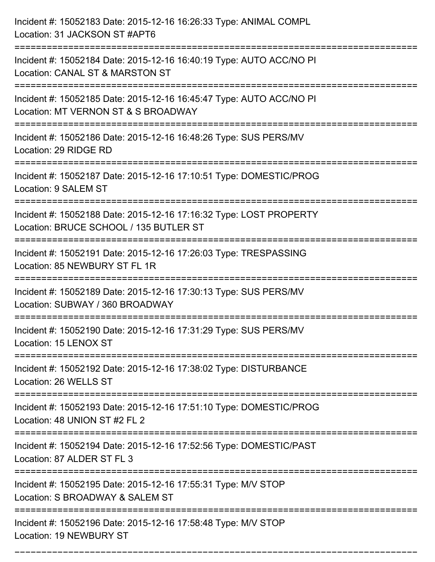| Incident #: 15052183 Date: 2015-12-16 16:26:33 Type: ANIMAL COMPL<br>Location: 31 JACKSON ST #APT6                                    |
|---------------------------------------------------------------------------------------------------------------------------------------|
| Incident #: 15052184 Date: 2015-12-16 16:40:19 Type: AUTO ACC/NO PI<br>Location: CANAL ST & MARSTON ST                                |
| Incident #: 15052185 Date: 2015-12-16 16:45:47 Type: AUTO ACC/NO PI<br>Location: MT VERNON ST & S BROADWAY<br>:====================== |
| Incident #: 15052186 Date: 2015-12-16 16:48:26 Type: SUS PERS/MV<br>Location: 29 RIDGE RD                                             |
| Incident #: 15052187 Date: 2015-12-16 17:10:51 Type: DOMESTIC/PROG<br>Location: 9 SALEM ST                                            |
| Incident #: 15052188 Date: 2015-12-16 17:16:32 Type: LOST PROPERTY<br>Location: BRUCE SCHOOL / 135 BUTLER ST                          |
| Incident #: 15052191 Date: 2015-12-16 17:26:03 Type: TRESPASSING<br>Location: 85 NEWBURY ST FL 1R                                     |
| Incident #: 15052189 Date: 2015-12-16 17:30:13 Type: SUS PERS/MV<br>Location: SUBWAY / 360 BROADWAY                                   |
| Incident #: 15052190 Date: 2015-12-16 17:31:29 Type: SUS PERS/MV<br>Location: 15 LENOX ST                                             |
| Incident #: 15052192 Date: 2015-12-16 17:38:02 Type: DISTURBANCE<br>Location: 26 WELLS ST                                             |
| Incident #: 15052193 Date: 2015-12-16 17:51:10 Type: DOMESTIC/PROG<br>Location: 48 UNION ST #2 FL 2                                   |
| Incident #: 15052194 Date: 2015-12-16 17:52:56 Type: DOMESTIC/PAST<br>Location: 87 ALDER ST FL 3                                      |
| Incident #: 15052195 Date: 2015-12-16 17:55:31 Type: M/V STOP<br>Location: S BROADWAY & SALEM ST                                      |
| Incident #: 15052196 Date: 2015-12-16 17:58:48 Type: M/V STOP<br>Location: 19 NEWBURY ST                                              |

===========================================================================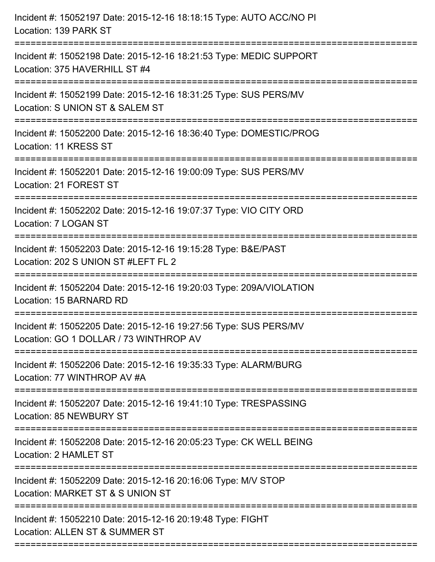| Incident #: 15052197 Date: 2015-12-16 18:18:15 Type: AUTO ACC/NO PI<br>Location: 139 PARK ST               |
|------------------------------------------------------------------------------------------------------------|
| Incident #: 15052198 Date: 2015-12-16 18:21:53 Type: MEDIC SUPPORT<br>Location: 375 HAVERHILL ST #4        |
| Incident #: 15052199 Date: 2015-12-16 18:31:25 Type: SUS PERS/MV<br>Location: S UNION ST & SALEM ST        |
| Incident #: 15052200 Date: 2015-12-16 18:36:40 Type: DOMESTIC/PROG<br>Location: 11 KRESS ST                |
| Incident #: 15052201 Date: 2015-12-16 19:00:09 Type: SUS PERS/MV<br>Location: 21 FOREST ST                 |
| Incident #: 15052202 Date: 2015-12-16 19:07:37 Type: VIO CITY ORD<br>Location: 7 LOGAN ST                  |
| Incident #: 15052203 Date: 2015-12-16 19:15:28 Type: B&E/PAST<br>Location: 202 S UNION ST #LEFT FL 2       |
| Incident #: 15052204 Date: 2015-12-16 19:20:03 Type: 209A/VIOLATION<br>Location: 15 BARNARD RD             |
| Incident #: 15052205 Date: 2015-12-16 19:27:56 Type: SUS PERS/MV<br>Location: GO 1 DOLLAR / 73 WINTHROP AV |
| Incident #: 15052206 Date: 2015-12-16 19:35:33 Type: ALARM/BURG<br>Location: 77 WINTHROP AV #A             |
| Incident #: 15052207 Date: 2015-12-16 19:41:10 Type: TRESPASSING<br>Location: 85 NEWBURY ST                |
| Incident #: 15052208 Date: 2015-12-16 20:05:23 Type: CK WELL BEING<br>Location: 2 HAMLET ST                |
| Incident #: 15052209 Date: 2015-12-16 20:16:06 Type: M/V STOP<br>Location: MARKET ST & S UNION ST          |
| Incident #: 15052210 Date: 2015-12-16 20:19:48 Type: FIGHT<br>Location: ALLEN ST & SUMMER ST               |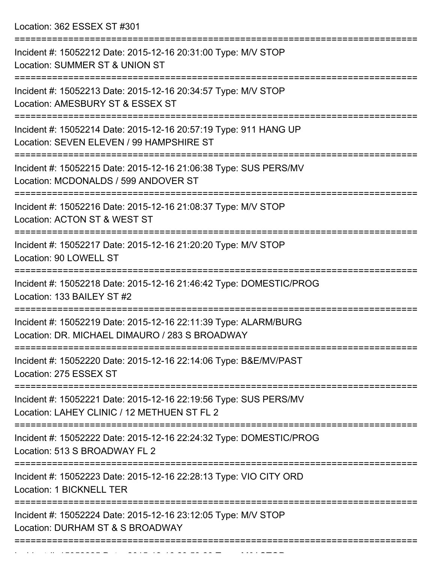Location: 362 ESSEX ST #301

| Incident #: 15052212 Date: 2015-12-16 20:31:00 Type: M/V STOP<br>Location: SUMMER ST & UNION ST                                                                             |
|-----------------------------------------------------------------------------------------------------------------------------------------------------------------------------|
| Incident #: 15052213 Date: 2015-12-16 20:34:57 Type: M/V STOP<br>Location: AMESBURY ST & ESSEX ST                                                                           |
| Incident #: 15052214 Date: 2015-12-16 20:57:19 Type: 911 HANG UP<br>Location: SEVEN ELEVEN / 99 HAMPSHIRE ST                                                                |
| Incident #: 15052215 Date: 2015-12-16 21:06:38 Type: SUS PERS/MV<br>Location: MCDONALDS / 599 ANDOVER ST                                                                    |
| Incident #: 15052216 Date: 2015-12-16 21:08:37 Type: M/V STOP<br>Location: ACTON ST & WEST ST                                                                               |
| Incident #: 15052217 Date: 2015-12-16 21:20:20 Type: M/V STOP<br>Location: 90 LOWELL ST                                                                                     |
| Incident #: 15052218 Date: 2015-12-16 21:46:42 Type: DOMESTIC/PROG<br>Location: 133 BAILEY ST #2                                                                            |
| Incident #: 15052219 Date: 2015-12-16 22:11:39 Type: ALARM/BURG<br>Location: DR. MICHAEL DIMAURO / 283 S BROADWAY                                                           |
| Incident #: 15052220 Date: 2015-12-16 22:14:06 Type: B&E/MV/PAST<br>Location: 275 ESSEX ST                                                                                  |
| ======================<br>==============================<br>Incident #: 15052221 Date: 2015-12-16 22:19:56 Type: SUS PERS/MV<br>Location: LAHEY CLINIC / 12 METHUEN ST FL 2 |
| Incident #: 15052222 Date: 2015-12-16 22:24:32 Type: DOMESTIC/PROG<br>Location: 513 S BROADWAY FL 2                                                                         |
| Incident #: 15052223 Date: 2015-12-16 22:28:13 Type: VIO CITY ORD<br>Location: 1 BICKNELL TER                                                                               |
| Incident #: 15052224 Date: 2015-12-16 23:12:05 Type: M/V STOP<br>Location: DURHAM ST & S BROADWAY                                                                           |
|                                                                                                                                                                             |